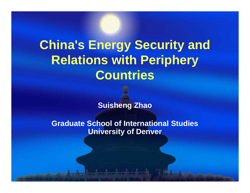# **China's Energy Security and Relations with Periphery Countries**

**Suisheng Zhao**

**Graduate School of International Studies University of Denver**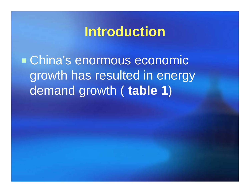## **Introduction**

 China's enormous economic growth has resulted in energy demand growth ( **table 1** )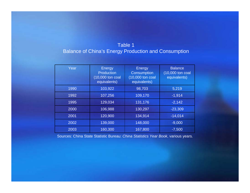#### Table 1 Balance of China's Energy Production and Consumption

| Year | Energy<br>Production<br>(10,000 ton coal<br>equivalents) | Energy<br><b>Consumption</b><br>(10,000 ton coal<br>equivalents) | <b>Balance</b><br>(10,000 ton coal<br>equivalents) |
|------|----------------------------------------------------------|------------------------------------------------------------------|----------------------------------------------------|
| 1990 | 103,922                                                  | 98,703                                                           | 5,219                                              |
| 1992 | 107,256                                                  | 109,170                                                          | $-1,914$                                           |
| 1995 | 129,034                                                  | 131,176                                                          | $-2,142$                                           |
| 2000 | 106,988                                                  | 130,297                                                          | $-23,309$                                          |
| 2001 | 120,900                                                  | 134,914                                                          | $-14,014$                                          |
| 2002 | 139,000                                                  | 148,000                                                          | $-9,000$                                           |
| 2003 | 160,300                                                  | 167,800                                                          | $-7,500$                                           |

Sources: China State Statistic Bureau: *China Statistics Year Book*, various years.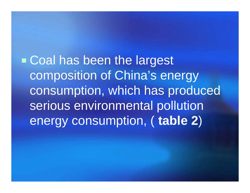**Example 1 Coal has been the largest** composition of China's energy consumption, which has produced serious environmental pollution energy consumption, ( **table 2** )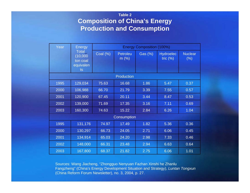#### **Table 2 Composition of China's Energy Production and Consumption**

| Year              | Energy<br><b>Total</b><br>(10,000)<br>ton coal<br>equivalen<br>ts | <b>Energy Composition (100%)</b> |                  |         |                                 |                           |  |
|-------------------|-------------------------------------------------------------------|----------------------------------|------------------|---------|---------------------------------|---------------------------|--|
|                   |                                                                   | Coal $(\%)$                      | Petroleu<br>m(%) | Gas (%) | <b>Hydroelec</b><br>tric $(% )$ | <b>Nuclear</b><br>$(\% )$ |  |
| <b>Production</b> |                                                                   |                                  |                  |         |                                 |                           |  |
| 1995              | 129,034                                                           | 75.63                            | 16.68            | 1.86    | 5.47                            | 0.37                      |  |
| 2000              | 106,988                                                           | 66.70                            | 21.79            | 3.39    | 7.55                            | 0.57                      |  |
| 2001              | 120,900                                                           | 67.45                            | 20.11            | 3.44    | 8.47                            | 0.53                      |  |
| 2002              | 139,000                                                           | 71.69                            | 17.35            | 3.16    | 7.11                            | 0.69                      |  |
| 2003              | 160,300                                                           | 74.63                            | 15.22            | 2.84    | 6.26                            | 1.04                      |  |
| Consumption       |                                                                   |                                  |                  |         |                                 |                           |  |
| 1995              | 131,176                                                           | 74.97                            | 17.49            | 1.82    | 5.36                            | 0.36                      |  |
| 2000              | 130,297                                                           | 66.73                            | 24.05            | 2.71    | 6.06                            | 0.45                      |  |
| 2001              | 134,914                                                           | 65.03                            | 24.20            | 2.98    | 7.33                            | 0.46                      |  |
| 2002              | 148,000                                                           | 66.31                            | 23.48            | 2.94    | 6.63                            | 0.64                      |  |
| 2003              | 167,800                                                           | 68.37                            | 21.82            | 2.75    | 6.06                            | 1.01                      |  |

Sources: Wang Jiacheng, "Zhongguo Nenyuan Fazhan Xinshi he Zhanlu Fangzheng" (China's Energy Development Situation and Strategy), *Luntan Tongxun* (China Reform Forum Newsletter), no. 3, 2004, p. 27.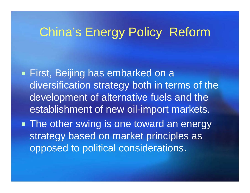## China's Energy Policy Reform

 First, Beijing has embarked on a diversification strategy both in terms of the development of alternative fuels and the establishment of new oil-import markets.

**The other swing is one toward an energy** strategy based on market principles as opposed to political considerations.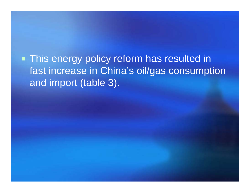**This energy policy reform has resulted in** fast increase in China's oil/gas consumption and import (table 3).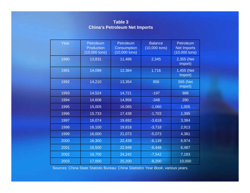#### **Table 3 China's Petroleum Net Imports**

| Year | Petroleum<br><b>Production</b><br>$(10,000 \text{ tons})$ | Petroleum<br>Consumption<br>$(10,000 \text{ tons})$ | <b>Balance</b><br>$(10,000 \text{ tons})$ | Petroleum<br><b>Net Imports</b><br>$(10,000 \text{ tons})$ |
|------|-----------------------------------------------------------|-----------------------------------------------------|-------------------------------------------|------------------------------------------------------------|
| 1990 | 13,831                                                    | 11,486                                              | 2,345                                     | 2,355 (Net<br>Import)                                      |
| 1991 | 14,099                                                    | 12,384                                              | 1,716                                     | 1,455 (Net<br>Import)                                      |
| 1992 | 14,210                                                    | 13,354                                              | 856                                       | 565 (Net<br>Import)                                        |
| 1993 | 14,524                                                    | 14,721                                              | $-197$                                    | 988                                                        |
| 1994 | 14,608                                                    | 14,956                                              | $-348$                                    | 290                                                        |
| 1995 | 15,005                                                    | 16,065                                              | $-1,060$                                  | 1,005                                                      |
| 1996 | 15,733                                                    | 17,438                                              | $-1,703$                                  | 1,395                                                      |
| 1997 | 16,074                                                    | 19,692                                              | $-3,618$                                  | 3,384                                                      |
| 1998 | 16,100                                                    | 19,818                                              | $-3,718$                                  | 2,913                                                      |
| 1999 | 16,000                                                    | 21,073                                              | $-5,073$                                  | 4,381                                                      |
| 2000 | 16,300                                                    | 22,439                                              | $-6,139$                                  | 6,974                                                      |
| 2001 | 16,500                                                    | 22,948                                              | $-6,448$                                  | 6,487                                                      |
| 2002 | 16,700                                                    | 24,242                                              | $-7,542$                                  | 7,183                                                      |
| 2003 | 17,000                                                    | 25,200                                              | $-8,200$                                  | 10,000                                                     |

Sources: China State Statistic Bureau: *China Statistics Year Book*, various years.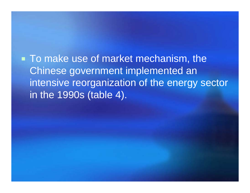■ To make use of market mechanism, the Chinese government implemented an intensive reorganization of the energy sector in the 1990s (table 4).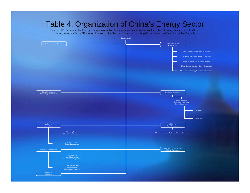#### Table 4. Organization of China's Energy Sector Source: U.S. Department of Energy, Energy Information Administration, Main Products of the Office of Energy Markets and End Use, Country Analysis Briefs, "China: An Energy Sector Overview," accessed at <http://w w w.eia/doe.gov/e meu/cabs/china/org.gif> State Council State Development Commission **Commission** Commission **Commission** Component Commission Component Commission Component Commission **Component Commission** Component Commission **Commission** Component Commission **Commission** Co State Council State Science andTechnology Commission **Commerce Commission** Ministry of Commerce Commission Ministry of Commerce Commission Ministry of Commerce Commission Commerce Commission Commission Commission Commission Commission Commission Commiss Ministry of Electric PowerMinistry of Water Resources Ministry of Coal Industry **All and The Company of Coal Industry of Geology and Ministry of Geology and Mineral Resources** Huaneng Group State Power Corporation Regional Electric Power Subsidiaries China National Local Coal Mines Development Corporation China Northest and NEI-Mongolia United Coal Company China National Petroleum Corporation China National Petrochemical Corporation China National Offshore Oil Corporation China National Nuclear Industry Corporation China National Energy Investment Corporation China National Chemicals Import and Export Corporation China International Water and Electric Corporation Unipec China Oil

**Agriculture**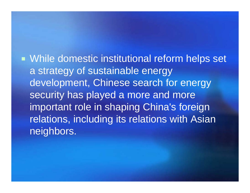**• While domestic institutional reform helps set** a strategy of sustainable energy development, Chinese search for energy security has played a more and more important role in shaping China's foreign relations, including its relations with Asian neighbors.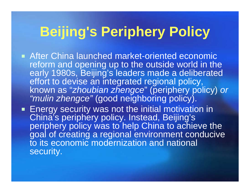# **Beijing's Periphery Policy**

- After China launched market-oriented economic reform and opening up to the outside world in the early 1980s, Beijing's leaders made a deliberated effort to devise an integrated regional policy, known as "*zhoubian zhengce*" (periphery policy) *or "mulin zhengce"* (good neighboring policy).
- Energy security was not the initial motivation in China's periphery policy. Instead, Beijing's periphery policy was to help China to achieve the goal of creating a regional environment conducive to its economic modernization and national security.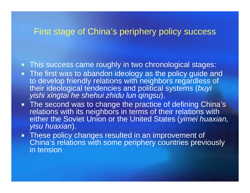### First stage of China's periphery policy success

- This success came roughly in two chronological stages:
- **The first was to abandon ideology as the policy guide and** to develop friendly relations with neighbors regardless of their ideological tendencies and political systems (*buyi yishi xingtai he shehui zhidu lun qingsu*).
- **The second was to change the practice of defining China's** relations with its neighbors in terms of their relations with either the Soviet Union or the United States (*yimei huaxian, yisu huaxian*).
- **These policy changes resulted in an improvement of** China's relations with some periphery countries previously in tension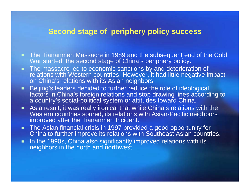### **Second stage of periphery policy success**

- **The Tiananmen Massacre in 1989 and the subsequent end of the Cold** War started the second stage of China's periphery policy.
- **The massacre led to economic sanctions by and deterioration of** relations with Western countries. However, it had little negative impact on China's relations with its Asian neighbors.
- п Beijing's leaders decided to further reduce the role of ideological factors in China's foreign relations and stop drawing lines according to a country's social-political system or attitudes toward China.
- As a result, it was really ironical that while China's relations with the Western countries soured, its relations with Asian-Pacific neighbors improved after the Tiananmen Incident.
- $\blacksquare$  The Asian financial crisis in 1997 provided a good opportunity for China to further improve its relations with Southeast Asian countries.
- п In the 1990s, China also significantly improved relations with its neighbors in the north and northwest.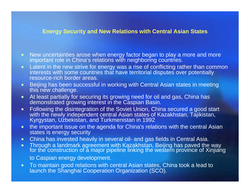#### **Energy Security and New Relations with Central Asian States**

- п ■ New uncertainties arose when energy factor began to play a more and more important role in China's relations with neighboring countries.
- **Latent in the new strive for energy was a rise of conflicting rather than common** interests with some countries that have territorial disputes over potentially resource-rich border areas.
- п Beijing has been successful in working with Central Asian states in meeting this new challenge.
- п At least partially for securing its growing need for oil and gas, China has demonstrated growing interest in the Caspian Basin.
- п Following the disintegration of the Soviet Union, China secured a good start with the newly independent central Asian states of Kazakhstan, Tajikistan, Kyrgystan, Uzbekistan, and Turkmenistan in 1992
- $\blacksquare$  the important issue on the agenda for China's relations with the central Asian states is energy security
- п China has invested heavily in several oil- and gas fields in Central Asia.
- $\blacksquare$  Through a landmark agreement with Kazakhstan, Beijing has paved the way for the construction of a major pipeline linking the western province of Xinjiang to Caspian energy development.
- ٠ To maintain good relations with central Asian states, China took a lead to launch the Shanghai Cooperation Organization (SCO).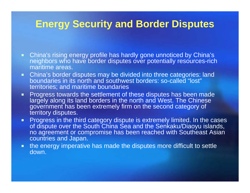## **Energy Security and Border Disputes**

- China's rising energy profile has hardly gone unnoticed by China's neighbors who have border disputes over potentially resources-rich maritime areas.
- $\blacksquare$  China's border disputes may be divided into three categories: land boundaries in its north and southwest borders: so-called "lost" territories; and maritime boundaries
- $\mathbf{u}$  . Progress towards the settlement of these disputes has been made largely along its land borders in the north and West. The Chinese government has been extremely firm on the second category of territory disputes.
- $\blacksquare$  $\textcolor{red}{\bullet}$  Progress in the third category dispute is extremely limited. In the cases of dispute over the South China Sea and the Senkaku/Diaoyu islands, no agreement or compromise has been reached with Southeast Asian countries and Japan.
- $\blacksquare$  . the energy imperative has made the disputes more difficult to settle down.